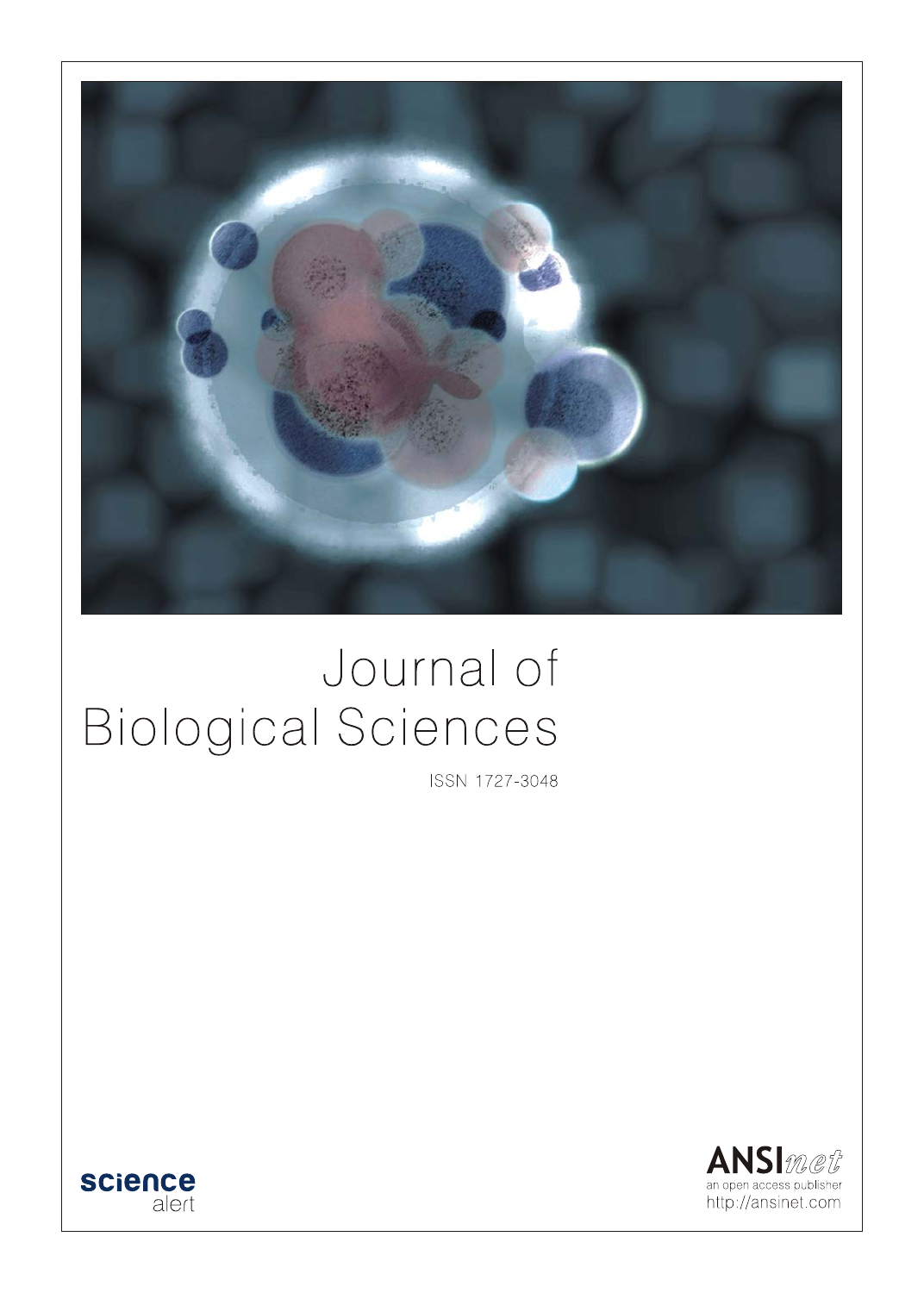

# Journal of **Biological Sciences**

ISSN 1727-3048



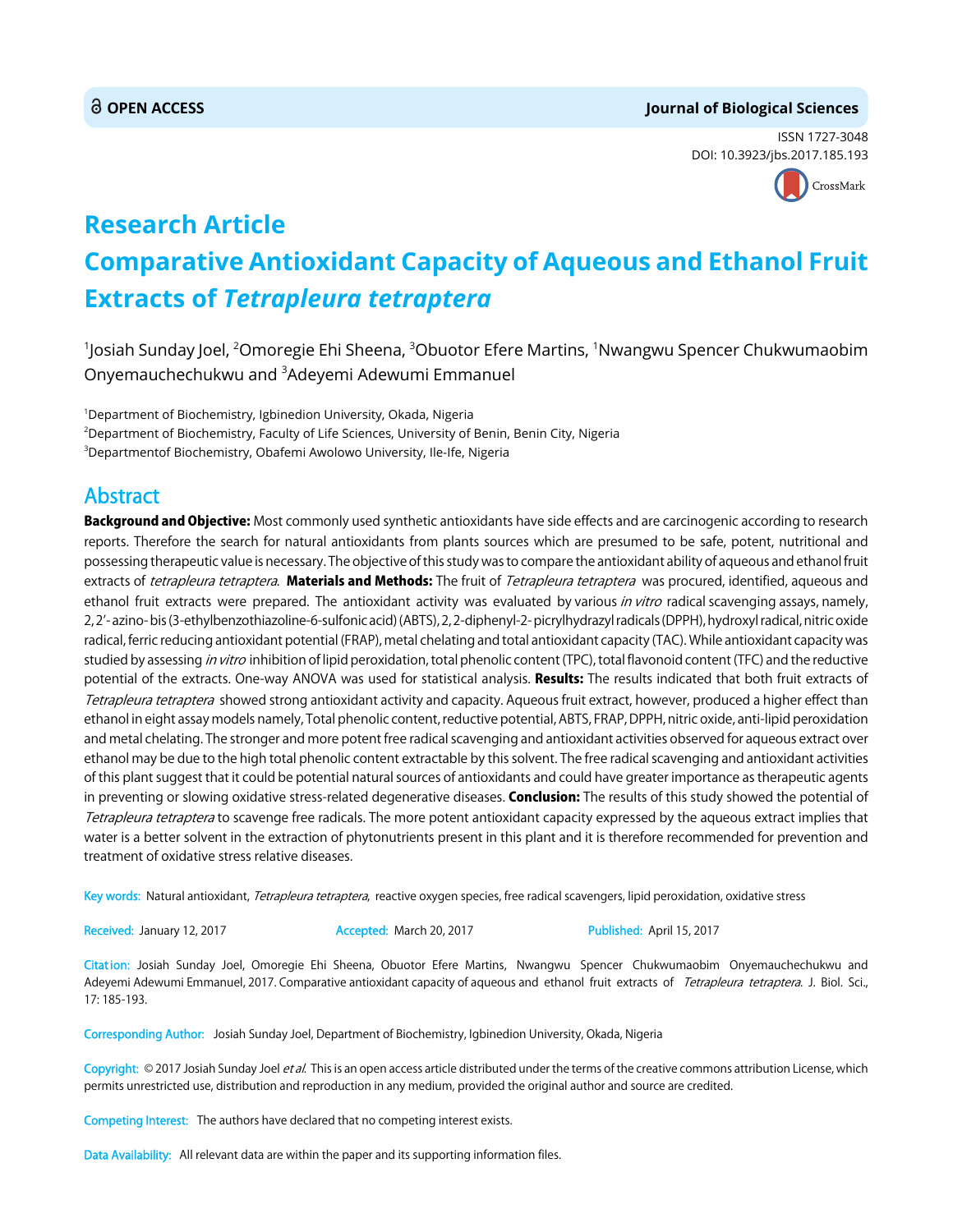### **OPEN ACCESS Journal of Biological Sciences**

ISSN 1727-3048 DOI: 10.3923/jbs.2017.185.193



# **Research Article Comparative Antioxidant Capacity of Aqueous and Ethanol Fruit Extracts of** *Tetrapleura tetraptera*

 $^{\text{1}}$ Josiah Sunday Joel,  $^{\text{2}}$ Omoregie Ehi Sheena,  $^{\text{3}}$ Obuotor Efere Martins,  $^{\text{1}}$ Nwangwu Spencer Chukwumaobim Onyemauchechukwu and <sup>3</sup>Adeyemi Adewumi Emmanuel

1 Department of Biochemistry, Igbinedion University, Okada, Nigeria 2 Department of Biochemistry, Faculty of Life Sciences, University of Benin, Benin City, Nigeria  $^3$ Departmentof Biochemistry, Obafemi Awolowo University, Ile-Ife, Nigeria

## Abstract

Background and Objective: Most commonly used synthetic antioxidants have side effects and are carcinogenic according to research reports. Therefore the search for natural antioxidants from plants sources which are presumed to be safe, potent, nutritional and possessing therapeutic value is necessary. The objective of this study was to compare the antioxidant ability of aqueous and ethanol fruit extracts of tetrapleura tetraptera. Materials and Methods: The fruit of Tetrapleura tetraptera was procured, identified, aqueous and ethanol fruit extracts were prepared. The antioxidant activity was evaluated by various in vitro radical scavenging assays, namely, 2, 2'- azino- bis (3-ethylbenzothiazoline-6-sulfonic acid) (ABTS), 2, 2-diphenyl-2- picrylhydrazyl radicals (DPPH), hydroxyl radical, nitric oxide radical, ferric reducing antioxidant potential (FRAP), metal chelating and total antioxidant capacity (TAC). While antioxidant capacity was studied by assessing *in vitro* inhibition of lipid peroxidation, total phenolic content (TPC), total flavonoid content (TFC) and the reductive potential of the extracts. One-way ANOVA was used for statistical analysis. Results: The results indicated that both fruit extracts of Tetrapleura tetraptera showed strong antioxidant activity and capacity. Aqueous fruit extract, however, produced a higher effect than ethanol in eight assay models namely, Total phenolic content, reductive potential, ABTS, FRAP, DPPH, nitric oxide, anti-lipid peroxidation and metal chelating. The stronger and more potent free radical scavenging and antioxidant activities observed for aqueous extract over ethanol may be due to the high total phenolic content extractable by this solvent. The free radical scavenging and antioxidant activities of this plant suggest that it could be potential natural sources of antioxidants and could have greater importance as therapeutic agents in preventing or slowing oxidative stress-related degenerative diseases. Conclusion: The results of this study showed the potential of Tetrapleura tetraptera to scavenge free radicals. The more potent antioxidant capacity expressed by the aqueous extract implies that water is a better solvent in the extraction of phytonutrients present in this plant and it is therefore recommended for prevention and treatment of oxidative stress relative diseases.

Key words: Natural antioxidant, Tetrapleura tetraptera, reactive oxygen species, free radical scavengers, lipid peroxidation, oxidative stress

Received: January 12, 2017 **Accepted: March 20, 2017** Published: April 15, 2017

Citation: Josiah Sunday Joel, Omoregie Ehi Sheena, Obuotor Efere Martins, Nwangwu Spencer Chukwumaobim Onyemauchechukwu and Adeyemi Adewumi Emmanuel, 2017. Comparative antioxidant capacity of aqueous and ethanol fruit extracts of Tetrapleura tetraptera. J. Biol. Sci., 17: 185-193.

Corresponding Author: Josiah Sunday Joel, Department of Biochemistry, Igbinedion University, Okada, Nigeria

Copyright: © 2017 Josiah Sunday Joel et al. This is an open access article distributed under the terms of the creative commons attribution License, which permits unrestricted use, distribution and reproduction in any medium, provided the original author and source are credited.

Competing Interest: The authors have declared that no competing interest exists.

Data Availability: All relevant data are within the paper and its supporting information files.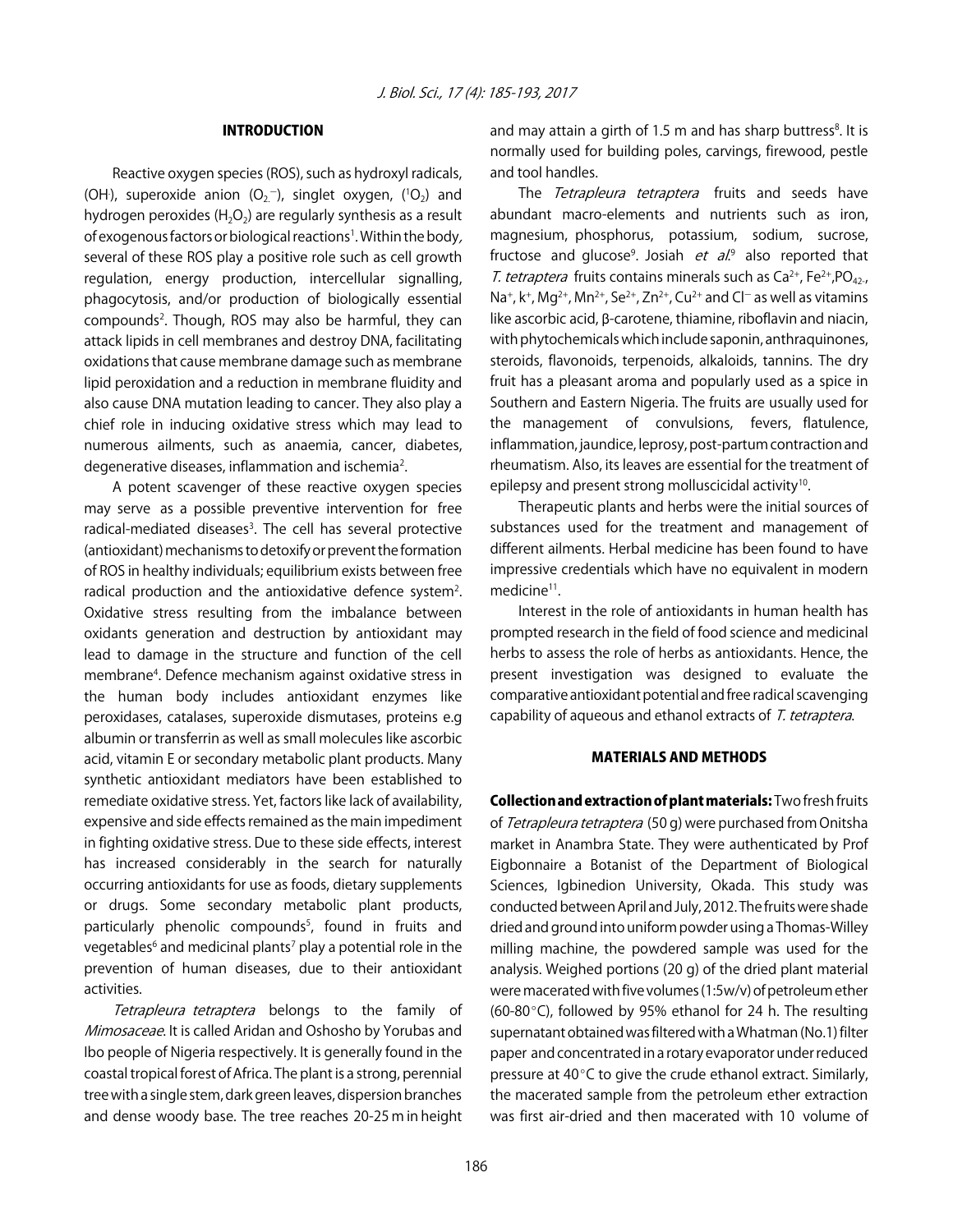#### INTRODUCTION

Reactive oxygen species (ROS), such as hydroxyl radicals, (OH), superoxide anion  $(O_2^-)$ , singlet oxygen,  $(^1O_2)$  and hydrogen peroxides ( $H_2O_2$ ) are regularly synthesis as a result of exogenous factors or biological reactions<sup>1</sup>. Within the body, several of these ROS play a positive role such as cell growth regulation, energy production, intercellular signalling, phagocytosis, and/or production of biologically essential compounds<sup>2</sup>. Though, ROS may also be harmful, they can attack lipids in cell membranes and destroy DNA, facilitating oxidations that cause membrane damage such as membrane lipid peroxidation and a reduction in membrane fluidity and also cause DNA mutation leading to cancer. They also play a chief role in inducing oxidative stress which may lead to numerous ailments, such as anaemia, cancer, diabetes, degenerative diseases, inflammation and ischemia<sup>2</sup>.

A potent scavenger of these reactive oxygen species may serve as a possible preventive intervention for free radical-mediated diseases<sup>3</sup>. The cell has several protective (antioxidant) mechanisms to detoxify or prevent the formation of ROS in healthy individuals; equilibrium exists between free radical production and the antioxidative defence system<sup>2</sup>. Oxidative stress resulting from the imbalance between oxidants generation and destruction by antioxidant may lead to damage in the structure and function of the cell membrane<sup>4</sup>. Defence mechanism against oxidative stress in the human body includes antioxidant enzymes like peroxidases, catalases, superoxide dismutases, proteins e.g albumin or transferrin as well as small molecules like ascorbic acid, vitamin E or secondary metabolic plant products. Many synthetic antioxidant mediators have been established to remediate oxidative stress. Yet, factors like lack of availability, expensive and side effects remained as the main impediment in fighting oxidative stress. Due to these side effects, interest has increased considerably in the search for naturally occurring antioxidants for use as foods, dietary supplements or drugs. Some secondary metabolic plant products, particularly phenolic compounds<sup>5</sup>, found in fruits and vegetables<sup>6</sup> and medicinal plants<sup>7</sup> play a potential role in the prevention of human diseases, due to their antioxidant activities.

Tetrapleura tetraptera belongs to the family of Mimosaceae. It is called Aridan and Oshosho by Yorubas and Ibo people of Nigeria respectively. It is generally found in the coastal tropical forest of Africa. The plant is a strong, perennial tree with a single stem, dark green leaves, dispersion branches and dense woody base. The tree reaches 20-25 m in height

and may attain a girth of 1.5 m and has sharp buttress<sup>8</sup>. It is normally used for building poles, carvings, firewood, pestle and tool handles.

The Tetrapleura tetraptera fruits and seeds have abundant macro-elements and nutrients such as iron, magnesium, phosphorus, potassium, sodium, sucrose, fructose and glucose<sup>9</sup>. Josiah *et al*.<sup>9</sup> also reported that T. tetraptera fruits contains minerals such as  $Ca^{2+}$ , Fe<sup>2+</sup>, PO<sub>42-</sub>, Na<sup>+</sup>, k<sup>+</sup>, Mg<sup>2+</sup>, Mn<sup>2+</sup>, Se<sup>2+</sup>, Zn<sup>2+</sup>, Cu<sup>2+</sup> and Cl<sup>-</sup> as well as vitamins like ascorbic acid, β-carotene, thiamine, riboflavin and niacin, with phytochemicals which include saponin, anthraquinones, steroids, flavonoids, terpenoids, alkaloids, tannins. The dry fruit has a pleasant aroma and popularly used as a spice in Southern and Eastern Nigeria. The fruits are usually used for the management of convulsions, fevers, flatulence, inflammation, jaundice, leprosy, post-partum contraction and rheumatism. Also, its leaves are essential for the treatment of epilepsy and present strong molluscicidal activity<sup>10</sup>.

Therapeutic plants and herbs were the initial sources of substances used for the treatment and management of different ailments. Herbal medicine has been found to have impressive credentials which have no equivalent in modern medicine<sup>11</sup>.

Interest in the role of antioxidants in human health has prompted research in the field of food science and medicinal herbs to assess the role of herbs as antioxidants. Hence, the present investigation was designed to evaluate the comparative antioxidant potential and free radical scavenging capability of aqueous and ethanol extracts of T. tetraptera.

#### MATERIALS AND METHODS

Collection and extraction of plant materials: Two fresh fruits of Tetrapleura tetraptera (50 g) were purchased from Onitsha market in Anambra State. They were authenticated by Prof Eigbonnaire a Botanist of the Department of Biological Sciences, Igbinedion University, Okada. This study was conducted between April and July, 2012. The fruits were shade dried and ground into uniform powder using a Thomas-Willey milling machine, the powdered sample was used for the analysis. Weighed portions (20 g) of the dried plant material were macerated with five volumes (1:5w/v) of petroleum ether (60-80 $^{\circ}$ C), followed by 95% ethanol for 24 h. The resulting supernatant obtained was filtered with a Whatman (No.1) filter paper and concentrated in a rotary evaporator under reduced pressure at  $40^{\circ}$ C to give the crude ethanol extract. Similarly, the macerated sample from the petroleum ether extraction was first air-dried and then macerated with 10 volume of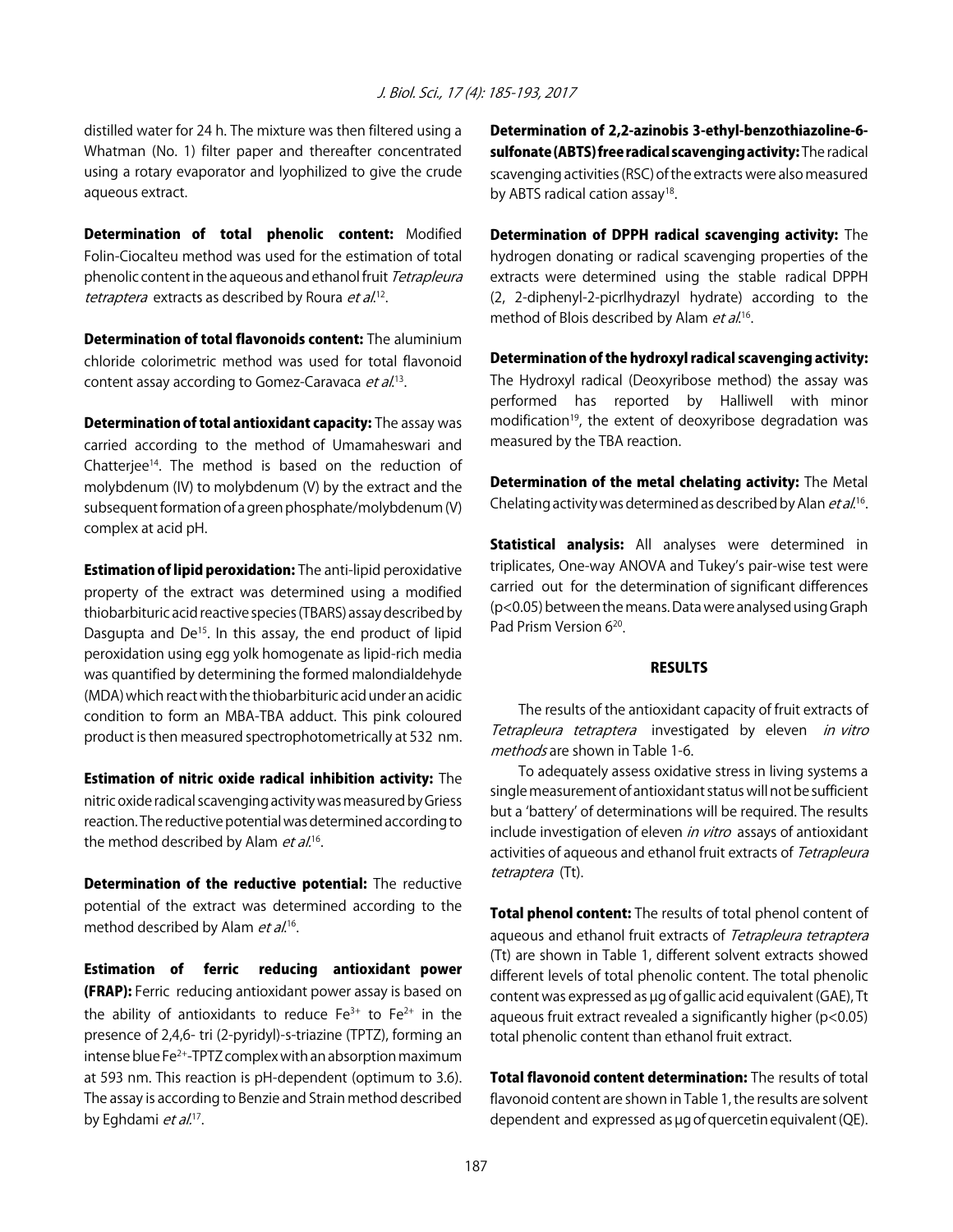distilled water for 24 h. The mixture was then filtered using a Whatman (No. 1) filter paper and thereafter concentrated using a rotary evaporator and lyophilized to give the crude aqueous extract.

Determination of total phenolic content: Modified Folin-Ciocalteu method was used for the estimation of total phenolic content in the aqueous and ethanol fruit Tetrapleura tetraptera extracts as described by Roura et al.<sup>12</sup>.

Determination of total flavonoids content: The aluminium chloride colorimetric method was used for total flavonoid content assay according to Gomez-Caravaca *et al.*<sup>13</sup>.

Determination of total antioxidant capacity: The assay was carried according to the method of Umamaheswari and Chatterjee<sup>14</sup>. The method is based on the reduction of molybdenum (IV) to molybdenum (V) by the extract and the subsequent formation of a green phosphate/molybdenum (V) complex at acid pH.

**Estimation of lipid peroxidation:** The anti-lipid peroxidative property of the extract was determined using a modified thiobarbituric acid reactive species (TBARS) assay described by Dasgupta and De<sup>15</sup>. In this assay, the end product of lipid peroxidation using egg yolk homogenate as lipid-rich media was quantified by determining the formed malondialdehyde (MDA) which react with the thiobarbituric acid under an acidic condition to form an MBA-TBA adduct. This pink coloured product is then measured spectrophotometrically at 532 nm.

Estimation of nitric oxide radical inhibition activity: The nitric oxide radical scavenging activity was measured by Griess reaction. The reductive potential was determined according to the method described by Alam  $et al.^{16}$ .

Determination of the reductive potential: The reductive potential of the extract was determined according to the method described by Alam *et al.*<sup>16</sup>.

Estimation of ferric reducing antioxidant power (FRAP): Ferric reducing antioxidant power assay is based on the ability of antioxidants to reduce  $Fe^{3+}$  to  $Fe^{2+}$  in the presence of 2,4,6- tri (2-pyridyl)-s-triazine (TPTZ), forming an intense blue Fe<sup>2+</sup>-TPTZ complex with an absorption maximum at 593 nm. This reaction is pH-dependent (optimum to 3.6). The assay is according to Benzie and Strain method described by Eghdami et al.<sup>17</sup>.

Determination of 2,2-azinobis 3-ethyl-benzothiazoline-6 sulfonate (ABTS) free radical scavenging activity: The radical scavenging activities (RSC) of the extracts were also measured by ABTS radical cation assay<sup>18</sup>.

Determination of DPPH radical scavenging activity: The hydrogen donating or radical scavenging properties of the extracts were determined using the stable radical DPPH (2, 2-diphenyl-2-picrlhydrazyl hydrate) according to the method of Blois described by Alam *et al*.<sup>16</sup>.

Determination of the hydroxyl radical scavenging activity: The Hydroxyl radical (Deoxyribose method) the assay was performed has reported by Halliwell with minor modification<sup>19</sup>, the extent of deoxyribose degradation was measured by the TBA reaction.

Determination of the metal chelating activity: The Metal Chelating activity was determined as described by Alan *et al*.<sup>16</sup>.

**Statistical analysis:** All analyses were determined in triplicates, One-way ANOVA and Tukey's pair-wise test were carried out for the determination of significant differences (p<0.05) between the means. Data were analysed using Graph Pad Prism Version 6<sup>20</sup>.

#### **RESULTS**

The results of the antioxidant capacity of fruit extracts of Tetrapleura tetraptera investigated by eleven in vitro methods are shown in Table 1-6.

To adequately assess oxidative stress in living systems a single measurement of antioxidant status will not be sufficient but a ʻbattery' of determinations will be required. The results include investigation of eleven in vitro assays of antioxidant activities of aqueous and ethanol fruit extracts of Tetrapleura tetraptera (Tt).

Total phenol content: The results of total phenol content of aqueous and ethanol fruit extracts of Tetrapleura tetraptera (Tt) are shown in Table 1, different solvent extracts showed different levels of total phenolic content. The total phenolic content was expressed as µg of gallic acid equivalent (GAE), Tt aqueous fruit extract revealed a significantly higher (p<0.05) total phenolic content than ethanol fruit extract.

Total flavonoid content determination: The results of total flavonoid content are shown in Table 1, the results are solvent dependent and expressed as µg of quercetin equivalent (QE).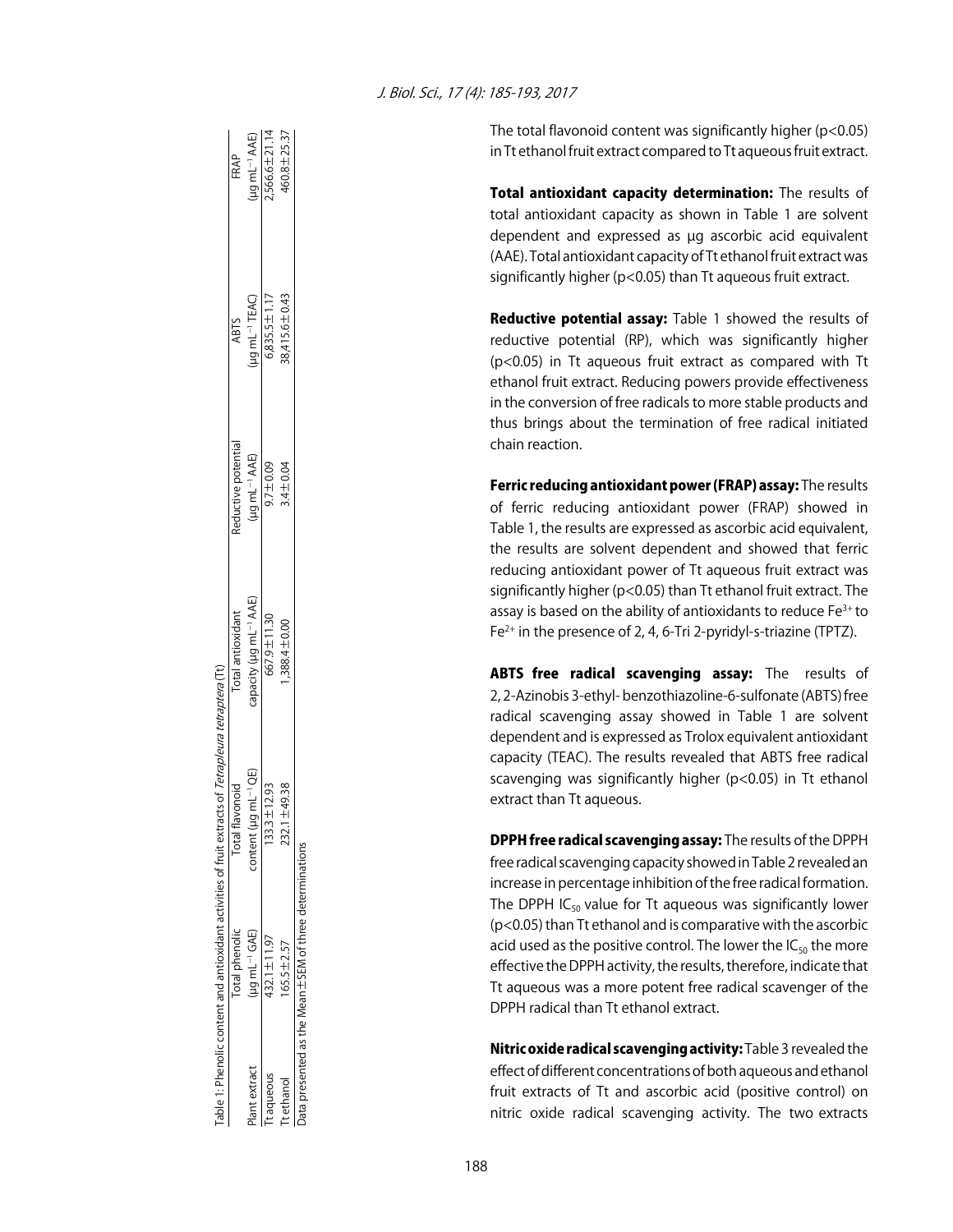| J. Biol. Sci., 17 (4): 185-193, 2017 |  |
|--------------------------------------|--|
|--------------------------------------|--|

The total flavonoid content was significantly higher (p<0.05) in Tt ethanol fruit extract compared to Tt aqueous fruit extract.

Total antioxidant capacity determination: The results of total antioxidant capacity as shown in Table 1 are solvent dependent and expressed as µg ascorbic acid equivalent (AAE). Total antioxidant capacity of Tt ethanol fruit extract was significantly higher (p<0.05) than Tt aqueous fruit extract.

Reductive potential assay: Table 1 showed the results of reductive potential (RP), which was significantly higher (p<0.05) in Tt aqueous fruit extract as compared with Tt ethanol fruit extract. Reducing powers provide effectiveness in the conversion of free radicals to more stable products and thus brings about the termination of free radical initiated chain reaction.

Ferric reducing antioxidant power (FRAP) assay: The results of ferric reducing antioxidant power (FRAP) showed in Table 1, the results are expressed as ascorbic acid equivalent, the results are solvent dependent and showed that ferric reducing antioxidant power of Tt aqueous fruit extract was significantly higher (p<0.05) than Tt ethanol fruit extract. The assay is based on the ability of antioxidants to reduce  $Fe<sup>3+</sup>$  to Fe2+ in the presence of 2, 4, 6-Tri 2-pyridyl-s-triazine (TPTZ).

ABTS free radical scavenging assay: The results of 2, 2-Azinobis 3-ethyl- benzothiazoline-6-sulfonate (ABTS) free radical scavenging assay showed in Table 1 are solvent dependent and is expressed as Trolox equivalent antioxidant capacity (TEAC). The results revealed that ABTS free radical scavenging was significantly higher (p<0.05) in Tt ethanol extract than Tt aqueous.

DPPH free radical scavenging assay: The results of the DPPH free radical scavenging capacity showed in Table 2 revealed an increase in percentage inhibition of the free radical formation. The DPPH IC $_{50}$  value for Tt aqueous was significantly lower (p<0.05) than Tt ethanol and is comparative with the ascorbic acid used as the positive control. The lower the  $IC_{50}$  the more effective the DPPH activity, the results, therefore, indicate that Tt aqueous was a more potent free radical scavenger of the DPPH radical than Tt ethanol extract.

Nitric oxide radical scavenging activity: Table 3 revealed the effect of different concentrations of both aqueous and ethanol fruit extracts of Tt and ascorbic acid (positive control) on nitric oxide radical scavenging activity. The two extracts

|             |                                                              | rable 1: Phenolic content and antioxidant activities of fruit extracts of <i>Tetrapleura tetraptera</i> (Tt) |                                    |                           |                                            |                           |
|-------------|--------------------------------------------------------------|--------------------------------------------------------------------------------------------------------------|------------------------------------|---------------------------|--------------------------------------------|---------------------------|
|             | Total phenolic                                               | <b>Total flavonoid</b>                                                                                       | Total antioxidant                  | Reductive potential       | ABTS                                       | FRAP                      |
| ant extract | $($ lg mL <sup>-1</sup> GAE)                                 | ug mL <sup>−1</sup> QE)<br>content (µ                                                                        | capacity (µg mL <sup>-1</sup> AAE) | (µg mL <sup>_1</sup> AAE) | (ug mL <sup>-1</sup> TEAC)<br>5,835.5±1.17 | (µg mL <sup>_1</sup> AAE) |
| aqueous     | 432.1±11.97                                                  | $133.3 \pm 12.93$                                                                                            | 667.9±11.30                        | $60.07 + 0.09$            |                                            | 7,566.6±21.14             |
| tethanol    | $165.5 \pm 2.57$                                             | ±49.38<br><b>232.1</b>                                                                                       | $1,388.4 \pm 0.00$                 | $3.4 \pm 0.04$            | 38,415.6 ± 0.43                            | 460.8 ± 25.37             |
|             | Data presented as the Mean $\pm$ SEM of three determinations |                                                                                                              |                                    |                           |                                            |                           |
|             |                                                              |                                                                                                              |                                    |                           |                                            |                           |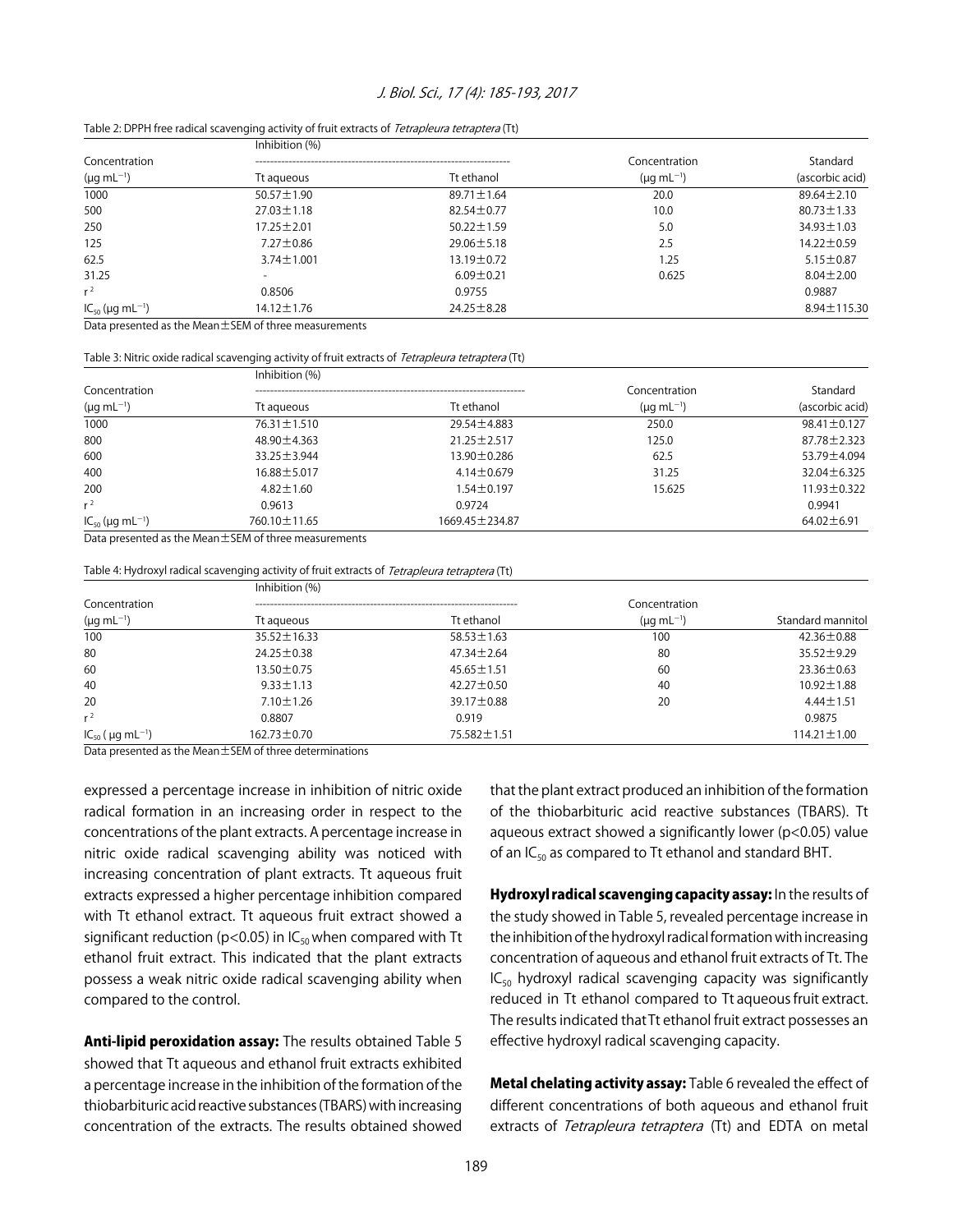#### J. Biol. Sci., 17 (4): 185-193, 2017

|                                  | Inhibition (%)                                                                                                                                                                                                                    |                  |                      |                  |
|----------------------------------|-----------------------------------------------------------------------------------------------------------------------------------------------------------------------------------------------------------------------------------|------------------|----------------------|------------------|
| Concentration                    |                                                                                                                                                                                                                                   |                  | Concentration        | Standard         |
| $(\mu g \, mL^{-1})$             | Tt agueous                                                                                                                                                                                                                        | Tt ethanol       | $(\mu q \, mL^{-1})$ | (ascorbic acid)  |
| 1000                             | $50.57 \pm 1.90$                                                                                                                                                                                                                  | $89.71 \pm 1.64$ | 20.0                 | $89.64 \pm 2.10$ |
| 500                              | $27.03 \pm 1.18$                                                                                                                                                                                                                  | $82.54 \pm 0.77$ | 10.0                 | $80.73 \pm 1.33$ |
| 250                              | $17.25 \pm 2.01$                                                                                                                                                                                                                  | $50.22 \pm 1.59$ | 5.0                  | $34.93 \pm 1.03$ |
| 125                              | $7.27 \pm 0.86$                                                                                                                                                                                                                   | $29.06 \pm 5.18$ | 2.5                  | $14.22 \pm 0.59$ |
| 62.5                             | $3.74 \pm 1.001$                                                                                                                                                                                                                  | $13.19 \pm 0.72$ | 1.25                 | $5.15 \pm 0.87$  |
| 31.25                            |                                                                                                                                                                                                                                   | $6.09 \pm 0.21$  | 0.625                | $8.04 \pm 2.00$  |
| $r^2$                            | 0.8506                                                                                                                                                                                                                            | 0.9755           |                      | 0.9887           |
| $IC_{50}$ (µg mL <sup>-1</sup> ) | $14.12 \pm 1.76$                                                                                                                                                                                                                  | $24.25 \pm 8.28$ |                      | 8.94±115.30      |
|                                  | $\mathbb{R}$ . I d as the state of the state of the state of the state of the state of the state of the state of the state of the state of the state of the state of the state of the state of the state of the state of the stat |                  |                      |                  |

#### Table 2: DPPH free radical scavenging activity of fruit extracts of Tetrapleura tetraptera (Tt)

Data presented as the Mean±SEM of three measurements

Table 3: Nitric oxide radical scavenging activity of fruit extracts of Tetrapleura tetraptera (Tt)

|                                  | Inhibition (%)    |                   |                      |                   |
|----------------------------------|-------------------|-------------------|----------------------|-------------------|
| Concentration                    |                   |                   | Concentration        | Standard          |
| $(\mu g \, mL^{-1})$             | Tt aqueous        | Tt ethanol        | $(\mu q \, mL^{-1})$ | (ascorbic acid)   |
| 1000                             | $76.31 \pm 1.510$ | 29.54 ± 4.883     | 250.0                | 98.41±0.127       |
| 800                              | 48.90 ± 4.363     | $21.25 \pm 2.517$ | 125.0                | $87.78 \pm 2.323$ |
| 600                              | $33.25 \pm 3.944$ | 13.90 ± 0.286     | 62.5                 | 53.79±4.094       |
| 400                              | 16.88±5.017       | $4.14 \pm 0.679$  | 31.25                | $32.04 \pm 6.325$ |
| 200                              | $4.82 \pm 1.60$   | $1.54 \pm 0.197$  | 15.625               | $11.93 \pm 0.322$ |
| $r^2$                            | 0.9613            | 0.9724            |                      | 0.9941            |
| $IC_{50}$ (µg mL <sup>-1</sup> ) | 760.10 ± 11.65    | 1669.45 ± 234.87  |                      | $64.02 \pm 6.91$  |

Data presented as the Mean±SEM of three measurements

Table 4: Hydroxyl radical scavenging activity of fruit extracts of Tetrapleura tetraptera (Tt)

|                                        | Inhibition (%)    |                  | Concentration        |                   |
|----------------------------------------|-------------------|------------------|----------------------|-------------------|
| Concentration                          |                   |                  |                      |                   |
| $(\mu g \, mL^{-1})$                   | Tt agueous        | Tt ethanol       | $(\mu q \, mL^{-1})$ | Standard mannitol |
| 100                                    | $35.52 \pm 16.33$ | $58.53 \pm 1.63$ | 100                  | $42.36 \pm 0.88$  |
| 80                                     | $24.25 \pm 0.38$  | $47.34 \pm 2.64$ | 80                   | $35.52 \pm 9.29$  |
| 60                                     | $13.50 \pm 0.75$  | $45.65 \pm 1.51$ | 60                   | $23.36 \pm 0.63$  |
| 40                                     | $9.33 \pm 1.13$   | $42.27 \pm 0.50$ | 40                   | $10.92 \pm 1.88$  |
| 20                                     | $7.10 \pm 1.26$   | 39.17 ± 0.88     | 20                   | $4.44 \pm 1.51$   |
| $r^2$                                  | 0.8807            | 0.919            |                      | 0.9875            |
| $IC_{50}$ ( $\mu$ g mL <sup>-1</sup> ) | $162.73 \pm 0.70$ | 75.582 ± 1.51    |                      | $114.21 \pm 1.00$ |
|                                        |                   |                  |                      |                   |

Data presented as the Mean±SEM of three determinations

expressed a percentage increase in inhibition of nitric oxide radical formation in an increasing order in respect to the concentrations of the plant extracts. A percentage increase in nitric oxide radical scavenging ability was noticed with increasing concentration of plant extracts. Tt aqueous fruit extracts expressed a higher percentage inhibition compared with Tt ethanol extract. Tt aqueous fruit extract showed a significant reduction ( $p$ <0.05) in  $IC_{50}$  when compared with Tt ethanol fruit extract. This indicated that the plant extracts possess a weak nitric oxide radical scavenging ability when compared to the control.

Anti-lipid peroxidation assay: The results obtained Table 5 showed that Tt aqueous and ethanol fruit extracts exhibited a percentage increase in the inhibition of the formation of the thiobarbituric acid reactive substances (TBARS) with increasing concentration of the extracts. The results obtained showed that the plant extract produced an inhibition of the formation of the thiobarbituric acid reactive substances (TBARS). Tt aqueous extract showed a significantly lower (p<0.05) value of an  $IC_{50}$  as compared to Tt ethanol and standard BHT.

Hydroxyl radical scavenging capacity assay: In the results of the study showed in Table 5, revealed percentage increase in the inhibition of the hydroxyl radical formation with increasing concentration of aqueous and ethanol fruit extracts of Tt. The  $IC_{50}$  hydroxyl radical scavenging capacity was significantly reduced in Tt ethanol compared to Tt aqueous fruit extract. The results indicated that Tt ethanol fruit extract possesses an effective hydroxyl radical scavenging capacity.

Metal chelating activity assay: Table 6 revealed the effect of different concentrations of both aqueous and ethanol fruit extracts of Tetrapleura tetraptera (Tt) and EDTA on metal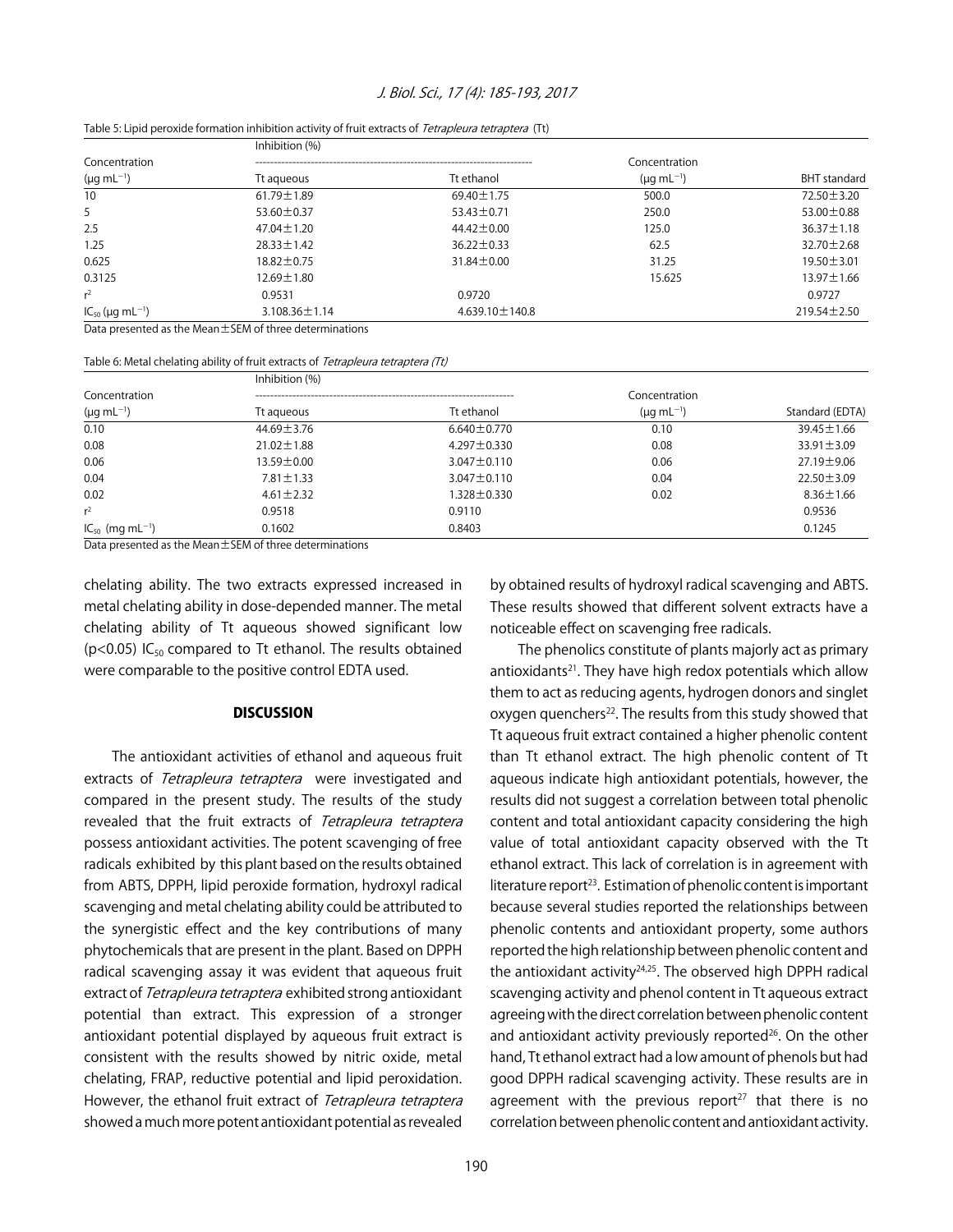#### J. Biol. Sci., 17 (4): 185-193, 2017

|                                  | Inhibition (%)                                          |                      |                      |                     |
|----------------------------------|---------------------------------------------------------|----------------------|----------------------|---------------------|
| Concentration                    |                                                         |                      | Concentration        |                     |
| $(\mu g \, mL^{-1})$             | Tt aqueous                                              | Tt ethanol           | $(\mu q \, mL^{-1})$ | <b>BHT</b> standard |
| 10 <sup>°</sup>                  | $61.79 \pm 1.89$                                        | $69.40 \pm 1.75$     | 500.0                | $72.50 \pm 3.20$    |
| 5                                | 53.60 $\pm$ 0.37                                        | $53.43 \pm 0.71$     | 250.0                | 53.00 $\pm$ 0.88    |
| 2.5                              | $47.04 \pm 1.20$                                        | $44.42 \pm 0.00$     | 125.0                | $36.37 \pm 1.18$    |
| 1.25                             | $28.33 \pm 1.42$                                        | $36.22 \pm 0.33$     | 62.5                 | 32.70 ± 2.68        |
| 0.625                            | $18.82 \pm 0.75$                                        | $31.84 \pm 0.00$     | 31.25                | $19.50 \pm 3.01$    |
| 0.3125                           | $12.69 \pm 1.80$                                        |                      | 15.625               | $13.97 \pm 1.66$    |
| $r^2$                            | 0.9531                                                  | 0.9720               |                      | 0.9727              |
| $IC_{50}$ (µg mL <sup>-1</sup> ) | $3.108.36 \pm 1.14$                                     | $4.639.10 \pm 140.8$ |                      | $219.54 \pm 2.50$   |
|                                  | Data presented as the Mean ±SEM of three determinations |                      |                      |                     |

Table 5: Lipid peroxide formation inhibition activity of fruit extracts of Tetrapleura tetraptera (Tt)

Table 6: Metal chelating ability of fruit extracts of Tetrapleura tetraptera (Tt)

|                                       | Inhibition (%)   |                   | Concentration<br>$(\mu q \, mL^{-1})$ |                  |
|---------------------------------------|------------------|-------------------|---------------------------------------|------------------|
| Concentration<br>$(\mu g \, mL^{-1})$ |                  |                   |                                       |                  |
|                                       | Tt agueous       | Tt ethanol        |                                       | Standard (EDTA)  |
| 0.10                                  | $44.69 \pm 3.76$ | $6.640 \pm 0.770$ | 0.10                                  | $39.45 \pm 1.66$ |
| 0.08                                  | $21.02 \pm 1.88$ | $4.297 \pm 0.330$ | 0.08                                  | $33.91 \pm 3.09$ |
| 0.06                                  | $13.59 \pm 0.00$ | $3.047 \pm 0.110$ | 0.06                                  | 27.19 ± 9.06     |
| 0.04                                  | $7.81 \pm 1.33$  | $3.047 \pm 0.110$ | 0.04                                  | $22.50 \pm 3.09$ |
| 0.02                                  | $4.61 \pm 2.32$  | 1.328±0.330       | 0.02                                  | $8.36 \pm 1.66$  |
| $r^2$                                 | 0.9518           | 0.9110            |                                       | 0.9536           |
| $IC_{50}$ (mg mL <sup>-1</sup> )      | 0.1602           | 0.8403            |                                       | 0.1245           |

Data presented as the Mean±SEM of three determinations

chelating ability. The two extracts expressed increased in metal chelating ability in dose-depended manner. The metal chelating ability of Tt aqueous showed significant low ( $p$ <0.05) IC<sub>50</sub> compared to Tt ethanol. The results obtained were comparable to the positive control EDTA used.

#### **DISCUSSION**

The antioxidant activities of ethanol and aqueous fruit extracts of Tetrapleura tetraptera were investigated and compared in the present study. The results of the study revealed that the fruit extracts of Tetrapleura tetraptera possess antioxidant activities. The potent scavenging of free radicals exhibited by this plant based on the results obtained from ABTS, DPPH, lipid peroxide formation, hydroxyl radical scavenging and metal chelating ability could be attributed to the synergistic effect and the key contributions of many phytochemicals that are present in the plant. Based on DPPH radical scavenging assay it was evident that aqueous fruit extract of Tetrapleura tetraptera exhibited strong antioxidant potential than extract. This expression of a stronger antioxidant potential displayed by aqueous fruit extract is consistent with the results showed by nitric oxide, metal chelating, FRAP, reductive potential and lipid peroxidation. However, the ethanol fruit extract of Tetrapleura tetraptera showed a much more potent antioxidant potential as revealed

by obtained results of hydroxyl radical scavenging and ABTS. These results showed that different solvent extracts have a noticeable effect on scavenging free radicals.

The phenolics constitute of plants majorly act as primary antioxidants<sup>21</sup>. They have high redox potentials which allow them to act as reducing agents, hydrogen donors and singlet oxygen quenchers<sup>22</sup>. The results from this study showed that Tt aqueous fruit extract contained a higher phenolic content than Tt ethanol extract. The high phenolic content of Tt aqueous indicate high antioxidant potentials, however, the results did not suggest a correlation between total phenolic content and total antioxidant capacity considering the high value of total antioxidant capacity observed with the Tt ethanol extract. This lack of correlation is in agreement with literature report<sup>23</sup>. Estimation of phenolic content is important because several studies reported the relationships between phenolic contents and antioxidant property, some authors reported the high relationship between phenolic content and the antioxidant activity $24,25$ . The observed high DPPH radical scavenging activity and phenol content in Tt aqueous extract agreeing with the direct correlation between phenolic content and antioxidant activity previously reported $26$ . On the other hand, Tt ethanol extract had a low amount of phenols but had good DPPH radical scavenging activity. These results are in agreement with the previous report<sup>27</sup> that there is no correlation between phenolic content and antioxidant activity.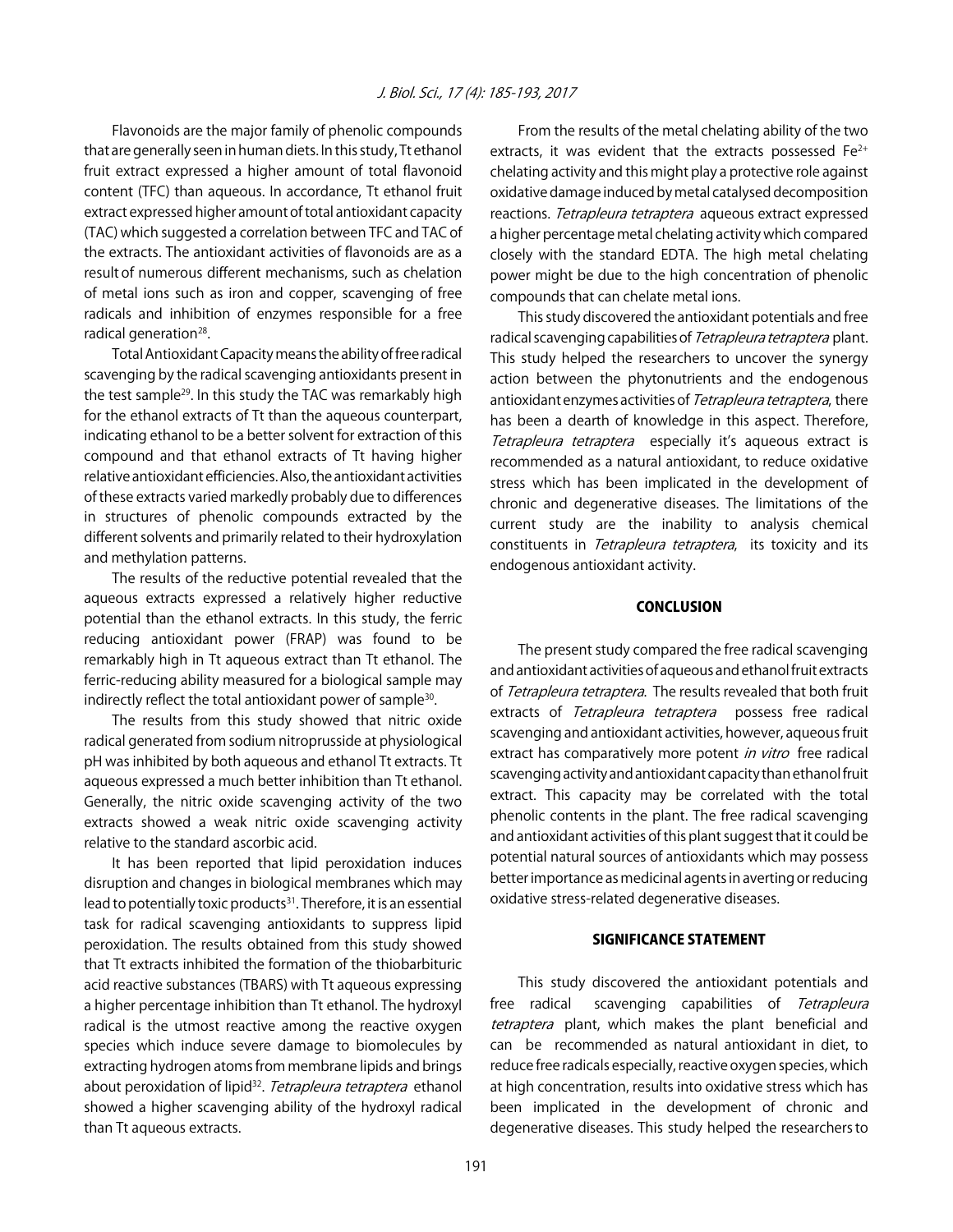Flavonoids are the major family of phenolic compounds that are generally seen in human diets. In this study, Tt ethanol fruit extract expressed a higher amount of total flavonoid content (TFC) than aqueous. In accordance, Tt ethanol fruit extract expressed higher amount of total antioxidant capacity (TAC) which suggested a correlation between TFC and TAC of the extracts. The antioxidant activities of flavonoids are as a result of numerous different mechanisms, such as chelation of metal ions such as iron and copper, scavenging of free radicals and inhibition of enzymes responsible for a free radical generation<sup>28</sup>.

Total Antioxidant Capacity means the ability of free radical scavenging by the radical scavenging antioxidants present in the test sample<sup>29</sup>. In this study the TAC was remarkably high for the ethanol extracts of Tt than the aqueous counterpart, indicating ethanol to be a better solvent for extraction of this compound and that ethanol extracts of Tt having higher relative antioxidant efficiencies. Also, the antioxidant activities of these extracts varied markedly probably due to differences in structures of phenolic compounds extracted by the different solvents and primarily related to their hydroxylation and methylation patterns.

The results of the reductive potential revealed that the aqueous extracts expressed a relatively higher reductive potential than the ethanol extracts. In this study, the ferric reducing antioxidant power (FRAP) was found to be remarkably high in Tt aqueous extract than Tt ethanol. The ferric-reducing ability measured for a biological sample may indirectly reflect the total antioxidant power of sample<sup>30</sup>.

The results from this study showed that nitric oxide radical generated from sodium nitroprusside at physiological pH was inhibited by both aqueous and ethanol Tt extracts. Tt aqueous expressed a much better inhibition than Tt ethanol. Generally, the nitric oxide scavenging activity of the two extracts showed a weak nitric oxide scavenging activity relative to the standard ascorbic acid.

It has been reported that lipid peroxidation induces disruption and changes in biological membranes which may lead to potentially toxic products<sup>31</sup>. Therefore, it is an essential task for radical scavenging antioxidants to suppress lipid peroxidation. The results obtained from this study showed that Tt extracts inhibited the formation of the thiobarbituric acid reactive substances (TBARS) with Tt aqueous expressing a higher percentage inhibition than Tt ethanol. The hydroxyl radical is the utmost reactive among the reactive oxygen species which induce severe damage to biomolecules by extracting hydrogen atoms from membrane lipids and brings about peroxidation of lipid<sup>32</sup>. Tetrapleura tetraptera ethanol showed a higher scavenging ability of the hydroxyl radical than Tt aqueous extracts.

From the results of the metal chelating ability of the two extracts, it was evident that the extracts possessed  $Fe<sup>2+</sup>$ chelating activity and this might play a protective role against oxidative damage induced by metal catalysed decomposition reactions. Tetrapleura tetraptera aqueous extract expressed a higher percentage metal chelating activity which compared closely with the standard EDTA. The high metal chelating power might be due to the high concentration of phenolic compounds that can chelate metal ions.

This study discovered the antioxidant potentials and free radical scavenging capabilities of Tetrapleura tetraptera plant. This study helped the researchers to uncover the synergy action between the phytonutrients and the endogenous antioxidant enzymes activities of Tetrapleura tetraptera, there has been a dearth of knowledge in this aspect. Therefore, Tetrapleura tetraptera especially it's aqueous extract is recommended as a natural antioxidant, to reduce oxidative stress which has been implicated in the development of chronic and degenerative diseases. The limitations of the current study are the inability to analysis chemical constituents in Tetrapleura tetraptera, its toxicity and its endogenous antioxidant activity.

#### **CONCLUSION**

The present study compared the free radical scavenging and antioxidant activities of aqueous and ethanol fruit extracts of Tetrapleura tetraptera. The results revealed that both fruit extracts of Tetrapleura tetraptera possess free radical scavenging and antioxidant activities, however, aqueous fruit extract has comparatively more potent in vitro free radical scavenging activity and antioxidant capacity than ethanol fruit extract. This capacity may be correlated with the total phenolic contents in the plant. The free radical scavenging and antioxidant activities of this plant suggest that it could be potential natural sources of antioxidants which may possess better importance as medicinal agents in averting or reducing oxidative stress-related degenerative diseases.

#### SIGNIFICANCE STATEMENT

This study discovered the antioxidant potentials and free radical scavenging capabilities of Tetrapleura tetraptera plant, which makes the plant beneficial and can be recommended as natural antioxidant in diet, to reduce free radicals especially, reactive oxygen species, which at high concentration, results into oxidative stress which has been implicated in the development of chronic and degenerative diseases. This study helped the researchers to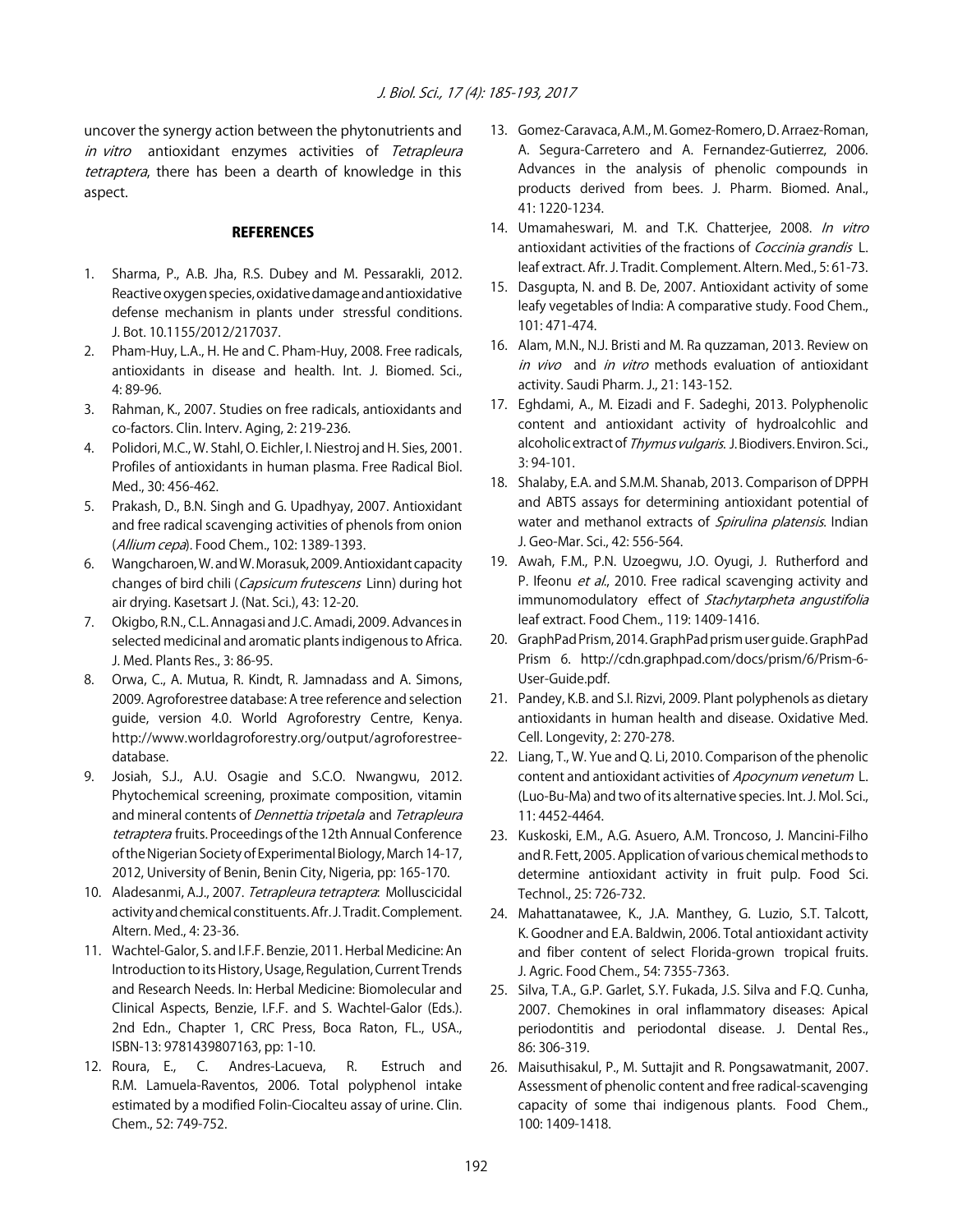uncover the synergy action between the phytonutrients and in vitro antioxidant enzymes activities of Tetrapleura tetraptera, there has been a dearth of knowledge in this aspect.

#### **REFERENCES**

- 1. Sharma, P., A.B. Jha, R.S. Dubey and M. Pessarakli, 2012. Reactive oxygen species, oxidative damage and antioxidative defense mechanism in plants under stressful conditions. J. Bot. 10.1155/2012/217037.
- 2. Pham-Huy, L.A., H. He and C. Pham-Huy, 2008. Free radicals, antioxidants in disease and health. Int. J. Biomed. Sci., 4: 89-96.
- 3. Rahman, K., 2007. Studies on free radicals, antioxidants and co-factors. Clin. Interv. Aging, 2: 219-236.
- 4. Polidori, M.C., W. Stahl, O. Eichler, I. Niestroj and H. Sies, 2001. Profiles of antioxidants in human plasma. Free Radical Biol. Med., 30: 456-462.
- 5. Prakash, D., B.N. Singh and G. Upadhyay, 2007. Antioxidant and free radical scavenging activities of phenols from onion (Allium cepa). Food Chem., 102: 1389-1393.
- 6. Wangcharoen, W. and W. Morasuk, 2009. Antioxidant capacity changes of bird chili (Capsicum frutescens Linn) during hot air drying. Kasetsart J. (Nat. Sci.), 43: 12-20.
- 7. Okigbo, R.N., C.L. Annagasi and J.C. Amadi, 2009. Advances in selected medicinal and aromatic plants indigenous to Africa. J. Med. Plants Res., 3: 86-95.
- 8. Orwa, C., A. Mutua, R. Kindt, R. Jamnadass and A. Simons, 2009. Agroforestree database: A tree reference and selection guide, version 4.0. World Agroforestry Centre, Kenya. http://www.worldagroforestry.org/output/agroforestreedatabase.
- 9. Josiah, S.J., A.U. Osagie and S.C.O. Nwangwu, 2012. Phytochemical screening, proximate composition, vitamin and mineral contents of *Dennettia tripetala* and *Tetrapleura* tetraptera fruits. Proceedings of the 12th Annual Conference of the Nigerian Society of Experimental Biology, March 14-17, 2012, University of Benin, Benin City, Nigeria, pp: 165-170.
- 10. Aladesanmi, A.J., 2007. Tetrapleura tetraptera: Molluscicidal activity and chemical constituents. Afr. J. Tradit. Complement. Altern. Med., 4: 23-36.
- 11. Wachtel-Galor, S. and I.F.F. Benzie, 2011. Herbal Medicine: An Introduction to its History, Usage, Regulation, Current Trends and Research Needs. In: Herbal Medicine: Biomolecular and Clinical Aspects, Benzie, I.F.F. and S. Wachtel-Galor (Eds.). 2nd Edn., Chapter 1, CRC Press, Boca Raton, FL., USA., ISBN-13: 9781439807163, pp: 1-10.
- 12. Roura, E., C. Andres-Lacueva, R. Estruch and R.M. Lamuela-Raventos, 2006. Total polyphenol intake estimated by a modified Folin-Ciocalteu assay of urine. Clin. Chem., 52: 749-752.
- 13. Gomez-Caravaca, A.M., M. Gomez-Romero, D. Arraez-Roman, A. Segura-Carretero and A. Fernandez-Gutierrez, 2006. Advances in the analysis of phenolic compounds in products derived from bees. J. Pharm. Biomed. Anal., 41: 1220-1234.
- 14. Umamaheswari, M. and T.K. Chatterjee, 2008. In vitro antioxidant activities of the fractions of Coccinia grandis L. leaf extract. Afr. J. Tradit. Complement. Altern. Med., 5: 61-73.
- 15. Dasgupta, N. and B. De, 2007. Antioxidant activity of some leafy vegetables of India: A comparative study. Food Chem., 101: 471-474.
- 16. Alam, M.N., N.J. Bristi and M. Ra quzzaman, 2013. Review on in vivo and in vitro methods evaluation of antioxidant activity. Saudi Pharm. J., 21: 143-152.
- 17. Eghdami, A., M. Eizadi and F. Sadeghi, 2013. Polyphenolic content and antioxidant activity of hydroalcohlic and alcoholic extract of Thymus vulgaris. J. Biodivers. Environ. Sci., 3: 94-101.
- 18. Shalaby, E.A. and S.M.M. Shanab, 2013. Comparison of DPPH and ABTS assays for determining antioxidant potential of water and methanol extracts of Spirulina platensis. Indian J. Geo-Mar. Sci., 42: 556-564.
- 19. Awah, F.M., P.N. Uzoegwu, J.O. Oyugi, J. Rutherford and P. Ifeonu et al., 2010. Free radical scavenging activity and immunomodulatory effect of Stachytarpheta angustifolia leaf extract. Food Chem., 119: 1409-1416.
- 20. GraphPad Prism, 2014. GraphPad prism user guide. GraphPad Prism 6. http://cdn.graphpad.com/docs/prism/6/Prism-6- User-Guide.pdf.
- 21. Pandey, K.B. and S.I. Rizvi, 2009. Plant polyphenols as dietary antioxidants in human health and disease. Oxidative Med. Cell. Longevity, 2: 270-278.
- 22. Liang, T., W. Yue and Q. Li, 2010. Comparison of the phenolic content and antioxidant activities of Apocynum venetum L. (Luo-Bu-Ma) and two of its alternative species. Int. J. Mol. Sci., 11: 4452-4464.
- 23. Kuskoski, E.M., A.G. Asuero, A.M. Troncoso, J. Mancini-Filho and R. Fett, 2005. Application of various chemical methods to determine antioxidant activity in fruit pulp. Food Sci. Technol., 25: 726-732.
- 24. Mahattanatawee, K., J.A. Manthey, G. Luzio, S.T. Talcott, K. Goodner and E.A. Baldwin, 2006. Total antioxidant activity and fiber content of select Florida-grown tropical fruits. J. Agric. Food Chem., 54: 7355-7363.
- 25. Silva, T.A., G.P. Garlet, S.Y. Fukada, J.S. Silva and F.Q. Cunha, 2007. Chemokines in oral inflammatory diseases: Apical periodontitis and periodontal disease. J. Dental Res., 86: 306-319.
- 26. Maisuthisakul, P., M. Suttajit and R. Pongsawatmanit, 2007. Assessment of phenolic content and free radical-scavenging capacity of some thai indigenous plants. Food Chem., 100: 1409-1418.